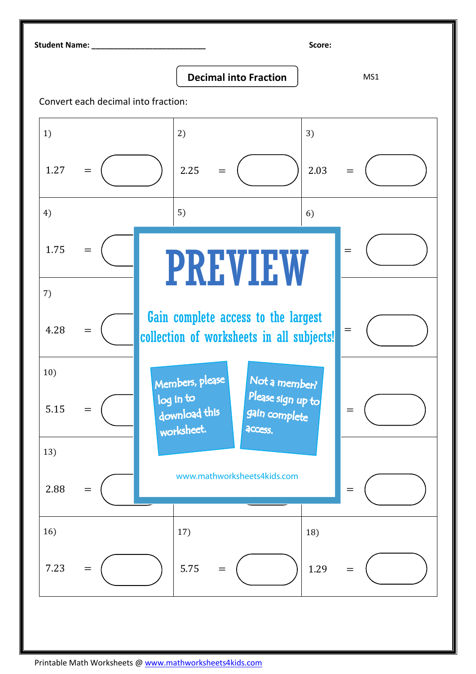